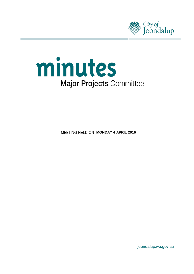



**MEETING HELD ON MONDAY 4 APRIL 2016** 

joondalup.wa.gov.au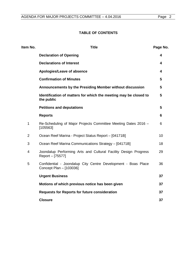# **TABLE OF CONTENTS**

| Item No.       | <b>Title</b>                                                                             | Page No.        |
|----------------|------------------------------------------------------------------------------------------|-----------------|
|                | <b>Declaration of Opening</b>                                                            | 4               |
|                | <b>Declarations of Interest</b>                                                          | 4               |
|                | Apologies/Leave of absence                                                               | 4               |
|                | <b>Confirmation of Minutes</b>                                                           | $5\phantom{1}$  |
|                | Announcements by the Presiding Member without discussion                                 | $5\phantom{.0}$ |
|                | Identification of matters for which the meeting may be closed to<br>the public           | $5\phantom{.0}$ |
|                | <b>Petitions and deputations</b>                                                         | $5\phantom{1}$  |
|                | <b>Reports</b>                                                                           | 6               |
| $\mathbf 1$    | Re-Scheduling of Major Projects Committee Meeting Dates 2016 -<br>[105563]               | 6               |
| $\overline{2}$ | Ocean Reef Marina - Project Status Report - [04171B]                                     | 10              |
| 3              | Ocean Reef Marina Communications Strategy - [04171B]                                     | 18              |
| 4              | Joondalup Performing Arts and Cultural Facility Design Progress<br>Report - [75577]      | 29              |
| 5              | Confidential - Joondalup City Centre Development - Boas Place<br>Concept Plan - [103036] | 36              |
|                | <b>Urgent Business</b>                                                                   | 37              |
|                | Motions of which previous notice has been given                                          | 37              |
|                | <b>Requests for Reports for future consideration</b>                                     | 37              |
|                | <b>Closure</b>                                                                           | 37              |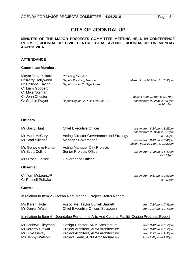# **CITY OF JOONDALUP**

### **MINUTES OF THE MAJOR PROJECTS COMMITTEE MEETING HELD IN CONFERENCE ROOM 1, JOONDALUP CIVIC CENTRE, BOAS AVENUE, JOONDALUP ON MONDAY 4 APRIL 2016.**

# **ATTENDANCE**

#### **Committee Members**

| Mayor Troy Pickard | <b>Presiding Member</b>             |                                |
|--------------------|-------------------------------------|--------------------------------|
| Cr Kerry Hollywood | <b>Deputy Presiding Member</b>      | absent from 10.28pm to 10.30pm |
| Cr Philippa Taylor | Deputising for Cr Nige Jones        |                                |
| Cr Liam Gobbert    |                                     |                                |
| Cr Mike Norman     |                                     |                                |
| Cr John Chester    |                                     | absent from 9.25pm to 9.27pm   |
| Cr Sophie Dwyer    | Deputising for Cr Russ Fishwick, JP | absent from 8.32pm to 8.33pm   |
|                    |                                     | to 10.45pm                     |

#### **Officers**

| Mr Garry Hunt                                  | <b>Chief Executive Officer</b>                                 | absent from 8.24pm to 8.25pm                                   |
|------------------------------------------------|----------------------------------------------------------------|----------------------------------------------------------------|
| Mr Mark McCory                                 | Acting Director Governance and Strategy                        | absent from 9.28pm to 9.29pm<br>to $8.42 \text{pm}$            |
| Mr Brad Sillence                               | Manager Governance                                             | absent from 8.42pm to 8.43pm<br>absent from 10.18pm to 10.20pm |
| Ms Genevieve Hunter<br><b>Mr Scott Collins</b> | <b>Acting Manager City Projects</b><br>Senior Projects Officer | absent from 7.49pm to 8.42pm<br>to $9.51pm$                    |
| Mrs Rose Garlick                               | Governance Officer                                             |                                                                |

#### **Observer**

Cr Tom McLean,JP *absent from 9.57pm to 9.59pm* Cr Russell Poliwka *to 9.50pm*

#### **Guests**

### In relation to Item 2 - Ocean Reef Marina - Project Status Report

| Ms Karen Hyde   | Associate, Taylor Burrell Barnett                                                              | from $7.24$ pm to $7.49$ pm |
|-----------------|------------------------------------------------------------------------------------------------|-----------------------------|
| Mr Darren Walsh | Chief Executive Officer, Strategen                                                             | from 7.24pm to 7.49pm       |
|                 | In relation to Item 4 - Joondalup Performing Arts And Cultural Facility Design Progress Report |                             |

| Mr Andrew Lilleyman | Design Director, ARM Architecture   | from $8.42 \text{pm}$ to $9.50 \text{pm}$ |
|---------------------|-------------------------------------|-------------------------------------------|
| Mr Jeremy Stewar    | Project Architect, ARM Architecture | from $8.42 \text{pm}$ to $9.50 \text{pm}$ |
| Mr Luke Davey       | Project Architect, ARM Architecture | from $8.42 \text{pm}$ to $9.50 \text{pm}$ |
| Ms Jenny Watson     | Project Team, ARM Architecture from | from $8.42$ pm to $9.50$ pm               |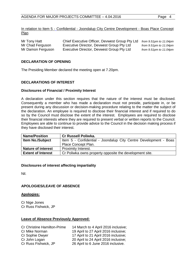In relation to Item 5 - Confidential - Joondalup City Centre Development - Boas Place Concept Plan

| Mr Tony Hatt      | Chief Executive Officer, Devwest Group Pty Ltd | from $9.51$ pm to $11.04$ pm |
|-------------------|------------------------------------------------|------------------------------|
| Mr Chad Ferguson  | Executive Director, Devwest Group Pty Ltd      | from $9.51$ pm to $11.04$ pm |
| Mr Damon Ferguson | Executive Director, Devwest Group Pty Ltd      | from $9.51$ pm to $11.04$ pm |

#### <span id="page-3-0"></span>**DECLARATION OF OPENING**

The Presiding Member declared the meeting open at 7.20pm.

### <span id="page-3-1"></span>**DECLARATIONS OF INTEREST**

#### **Disclosures of Financial / Proximity Interest**

A declaration under this section requires that the nature of the interest must be disclosed. Consequently a member who has made a declaration must not preside, participate in, or be present during any discussion or decision-making procedure relating to the matter the subject of the declaration. An employee is required to disclose their financial interest and if required to do so by the Council must disclose the extent of the interest. Employees are required to disclose their financial interests where they are required to present verbal or written reports to the Council. Employees are able to continue to provide advice to the Council in the decision making process if they have disclosed their interest.

| <b>Name/Position</b>      | <b>Cr Russell Poliwka.</b>                                       |
|---------------------------|------------------------------------------------------------------|
| <b>Item No./Subject</b>   | Item 5 - Confidential - Joondalup City Centre Development - Boas |
|                           | Place Concept Plan.                                              |
| <b>Nature of interest</b> | Proximity Interest.                                              |
| <b>Extent of Interest</b> | Cr Poliwka owns property opposite the development site.          |

#### **Disclosures of interest affecting impartiality**

<span id="page-3-2"></span>Nil.

#### **APOLOGIES/LEAVE OF ABSENCE**

#### **Apologies:**

Cr Nige Jones Cr Russ Fishwick, JP

#### **Leave of Absence Previously Approved:**

| <b>Cr Christine Hamilton-Prime</b> | 14 March to 4 April 2016 inclusive;  |
|------------------------------------|--------------------------------------|
| Cr Mike Norman                     | 19 April to 27 April 2016 inclusive; |
| Cr Sophie Dwyer                    | 17 April to 21 April 2016 inclusive; |
| Cr John Logan                      | 20 April to 24 April 2016 inclusive; |
| Cr Russ Fishwick, JP               | 26 April to 6 June 2016 inclusive.   |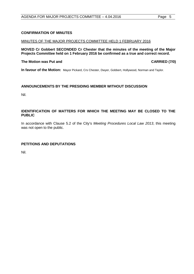# <span id="page-4-0"></span>**CONFIRMATION OF MINUTES**

### MINUTES OF THE MAJOR PROJECTS COMMITTEE HELD 1 FEBRUARY 2016

**MOVED Cr Gobbert SECONDED Cr Chester that the minutes of the meeting of the Major Projects Committee held on 1 February 2016 be confirmed as a true and correct record.**

### **The Motion was Put and CARRIED (7/0)**

**In favour of the Motion:** Mayor Pickard, Crs Chester, Dwyer, Gobbert, Hollywood, Norman and Taylor.

# <span id="page-4-1"></span>**ANNOUNCEMENTS BY THE PRESIDING MEMBER WITHOUT DISCUSSION**

Nil.

# <span id="page-4-2"></span>**IDENTIFICATION OF MATTERS FOR WHICH THE MEETING MAY BE CLOSED TO THE PUBLIC**

In accordance with Clause 5.2 of the City's *Meeting Procedures Local Law 2013*, this meeting was not open to the public.

# <span id="page-4-3"></span>**PETITIONS AND DEPUTATIONS**

Nil.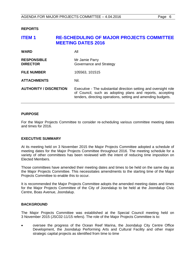<span id="page-5-0"></span>**REPORTS**

# <span id="page-5-1"></span>**ITEM 1 RE-SCHEDULING OF MAJOR PROJECTS COMMITTEE MEETING DATES 2016**

| <b>WARD</b>                           | All                                                                                                                                                                                           |
|---------------------------------------|-----------------------------------------------------------------------------------------------------------------------------------------------------------------------------------------------|
| <b>RESPONSIBLE</b><br><b>DIRECTOR</b> | Mr Jamie Parry<br>Governance and Strategy                                                                                                                                                     |
| <b>FILE NUMBER</b>                    | 105563, 101515                                                                                                                                                                                |
| <b>ATTACHMENTS</b>                    | Nil.                                                                                                                                                                                          |
| <b>AUTHORITY / DISCRETION</b>         | Executive - The substantial direction setting and oversight role<br>of Council, such as adopting plans and reports, accepting<br>tenders, directing operations, setting and amending budgets. |

### **PURPOSE**

For the Major Projects Committee to consider re-scheduling various committee meeting dates and times for 2016.

#### **EXECUTIVE SUMMARY**

At its meeting held on 3 November 2015 the Major Projects Committee adopted a schedule of meeting dates for the Major Projects Committee throughout 2016. The meeting schedule for a variety of other committees has been reviewed with the intent of reducing time imposition on Elected Members.

Those committees have amended their meeting dates and times to be held on the same day as the Major Projects Committee. This necessitates amendments to the starting time of the Major Projects Committee to enable this to occur.

It is recommended the Major Projects Committee adopts the amended meeting dates and times for the Major Projects Committee of the City of Joondalup to be held at the Joondalup Civic Centre, Boas Avenue, Joondalup.

# **BACKGROUND**

The Major Projects Committee was established at the Special Council meeting held on 3 November 2015 (JSC02-11/15 refers). The role of the Major Projects Committee is to:

• oversee the progress of the Ocean Reef Marina, the Joondalup City Centre Office Development, the Joondalup Performing Arts and Cultural Facility and other major strategic capital projects as identified from time to time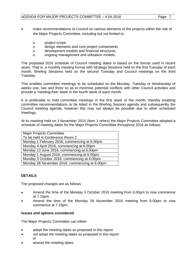- make recommendations to Council on various elements of the projects within the role of the Major Projects Committee, including but not limited to:
	- o project scope
	- o design elements and core project components
	- o development models and financial structures<br>o ongoing management and utilisation models
	- ongoing management and utilisation models.

The proposed 2016 schedule of Council meeting dates is based on the format used in recent years. That is, a monthly meeting format with Strategy Sessions held on the first Tuesday of each month, Briefing Sessions held on the second Tuesday and Council meetings on the third Tuesday.

This enables committee meetings to be scheduled on the Monday, Tuesday or Wednesday of weeks one, two and three so as to minimise potential conflicts with other Council activities and provide a 'meeting-free' week in the fourth week of each month.

It is preferable to hold committee meetings in the first week of the month, thereby enabling committee recommendations to be listed in the Briefing Session agenda and subsequently the Council meeting agenda, however this may not always be possible due to other scheduled meetings.

At its meeting held on 3 November 2015 (Item 1 refers) the Major Projects Committee adopted a schedule of meeting dates for the Major Projects Committee throughout 2016 as follows:

| <b>Major Projects Committee</b>               |
|-----------------------------------------------|
| To be held in Conference Room 2               |
| Monday 1 February 2016, commencing at 6.00pm  |
| Monday 4 April 2016, commencing at 6.00pm     |
| Monday 13 June 2016, commencing at 6.00pm     |
| Monday 1 August 2016, commencing at 6.00pm    |
| Monday 3 October 2016, commencing at 6.00pm   |
| Monday 28 November 2016, commencing at 6.00pm |

# **DETAILS**

The proposed changes are as follows:

- Amend the time of the Monday 3 October 2016 meeting from 6.00pm to now commence at 7.15pm.
- Amend the time of the Monday 28 November 2016 meeting from 6.00pm to now commence at 7.15pm.

# **Issues and options considered**

The Major Projects Committee can either:

- adopt the meeting dates as proposed in this report
- not adopt the meeting dates as proposed in this report or
- amend the meeting dates.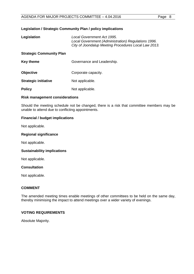## **Legislation / Strategic Community Plan / policy implications**

| Legislation                     | Local Government Act 1995.<br>Local Government (Administration) Regulations 1996.<br>City of Joondalup Meeting Procedures Local Law 2013. |  |  |  |
|---------------------------------|-------------------------------------------------------------------------------------------------------------------------------------------|--|--|--|
| <b>Strategic Community Plan</b> |                                                                                                                                           |  |  |  |
| <b>Key theme</b>                | Governance and Leadership.                                                                                                                |  |  |  |
| <b>Objective</b>                | Corporate capacity.                                                                                                                       |  |  |  |
| <b>Strategic initiative</b>     | Not applicable.                                                                                                                           |  |  |  |
| <b>Policy</b>                   | Not applicable.                                                                                                                           |  |  |  |

### **Risk management considerations**

Should the meeting schedule not be changed, there is a risk that committee members may be unable to attend due to conflicting appointments.

### **Financial / budget implications**

Not applicable.

#### **Regional significance**

Not applicable.

#### **Sustainability implications**

Not applicable.

#### **Consultation**

Not applicable.

# **COMMENT**

The amended meeting times enable meetings of other committees to be held on the same day, thereby minimising the impact to attend meetings over a wider variety of evenings.

# **VOTING REQUIREMENTS**

Absolute Majority.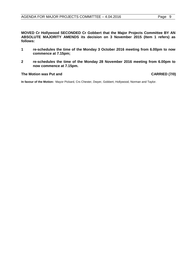**MOVED Cr Hollywood SECONDED Cr Gobbert that the Major Projects Committee BY AN ABSOLUTE MAJORITY AMENDS its decision on 3 November 2015 (Item 1 refers) as follows:**

- **1 re-schedules the time of the Monday 3 October 2016 meeting from 6.00pm to now commence at 7.15pm;**
- **2 re-schedules the time of the Monday 28 November 2016 meeting from 6.00pm to now commence at 7.15pm.**

#### The Motion was Put and **CARRIED** (7/0)

**In favour of the Motion:** Mayor Pickard, Crs Chester, Dwyer, Gobbert, Hollywood, Norman and Taylor.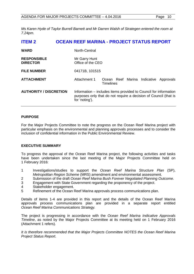*Ms Karen Hyde of Taylor Burrell Barnett and Mr Darren Walsh of Strategen entered the room at 7.24pm.*

<span id="page-9-0"></span>

| <b>ITEM 2</b>                         | <b>OCEAN REEF MARINA - PROJECT STATUS REPORT</b>                                                                                                       |                                                  |  |  |  |           |
|---------------------------------------|--------------------------------------------------------------------------------------------------------------------------------------------------------|--------------------------------------------------|--|--|--|-----------|
| <b>WARD</b>                           | North-Central                                                                                                                                          |                                                  |  |  |  |           |
| <b>RESPONSIBLE</b><br><b>DIRECTOR</b> | Mr Garry Hunt<br>Office of the CEO                                                                                                                     |                                                  |  |  |  |           |
| <b>FILE NUMBER</b>                    | 04171B, 101515                                                                                                                                         |                                                  |  |  |  |           |
| <b>ATTACHMENT</b>                     | Attachment 1                                                                                                                                           | Ocean Reef Marina Indicative<br><b>Timelines</b> |  |  |  | Approvals |
| <b>AUTHORITY / DISCRETION</b>         | Information – includes items provided to Council for information<br>purposes only that do not require a decision of Council (that is<br>for 'noting'). |                                                  |  |  |  |           |

# **PURPOSE**

For the Major Projects Committee to note the progress on the Ocean Reef Marina project with particular emphasis on the environmental and planning approvals processes and to consider the inclusion of confidential information in the Public Environmental Review.

# **EXECUTIVE SUMMARY**

To progress the approval of the Ocean Reef Marina project, the following activities and tasks have been undertaken since the last meeting of the Major Projects Committee held on 1 February 2016:

- 1 Investigations/studies to support the *Ocean Reef Marina Structure Plan* (SP), *Metropolitan Region Scheme* (MRS) amendment and environmental assessment.
- 2 Submission of the draft *Ocean Reef Marina Bush Forever Negotiated Planning Outcome*.
- 3 Engagement with State Government regarding the proponency of the project.
- 4 Stakeholder engagement.
- 5 Refinement of the Ocean Reef Marina approvals process communications plan.

Details of items 1-4 are provided in this report and the details of the Ocean Reef Marina approvals process communications plan are provided in a separate report entitled *Ocean Reef Marina Communications Strategy.*

The project is progressing in accordance with the *Ocean Reef Marina Indicative Approvals Timeline*, as noted by the Major Projects Committee at its meeting held on 1 February 2016 (Attachment 1 refers).

*It is therefore recommended that the Major Projects Committee NOTES the Ocean Reef Marina Project Status Report.*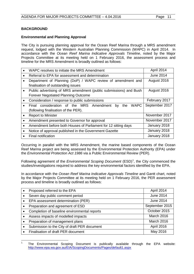# **BACKGROUND**

# **Environmental and Planning Approval**

The City is pursuing planning approval for the Ocean Reef Marina through a MRS amendment request, lodged with the Western Australian Planning Commission (WAPC) in April 2014. In accordance with the *Ocean Reef Marina Indicative Approvals Timeline*, noted by the Major Projects Committee at its meeting held on 1 February 2016, the assessment process and timeline for the MRS Amendment is broadly outlined as follows:

|           | WAPC resolves to initiate the MRS Amendment                          | April 2014       |
|-----------|----------------------------------------------------------------------|------------------|
| $\bullet$ | Referral to EPA for assessment and determination                     | <b>June 2014</b> |
|           | Department of Planning (DoP) / WAPC review of amendment and          | August 2016      |
|           | finalisation of outstanding issues                                   |                  |
| $\bullet$ | Public advertising of MRS amendment (public submissions) and Bush    | August 2016      |
|           | <b>Forever Negotiated Planning Outcome</b>                           |                  |
|           | Consideration / response to public submissions                       | February 2017    |
|           | Final consideration of the MRS Amendment<br><b>WAPC</b><br>the<br>by | September 2017   |
|           | (following finalisation of the PER).                                 |                  |
| $\bullet$ | <b>Report to Minister</b>                                            | November 2017    |
|           | Amendment presented to Governor for approval                         | November 2017    |
| $\bullet$ | Amendment before both Houses of Parliament for 12 sitting days       | January 2018     |
|           | Notice of approval published in the Government Gazette               | January 2018     |
|           | Final notification                                                   | January 2018     |

Occurring in parallel with the MRS Amendment, the marine based components of the Ocean Reef Marina project are being assessed by the Environmental Protection Authority (EPA) under the *Environmental Protection Act 1986* via a Public Environmental Review (PER).

Following agreement of the *Environmental Scoping Document* (ESD)<sup>[1](#page-10-0)</sup>, the City commenced the studies/investigations required to address the key environmental factors identified by the EPA.

In accordance with the *Ocean Reef Marina Indicative Approvals Timeline* and Gantt chart, noted by the Major Projects Committee at its meeting held on 1 February 2016, the PER assessment process and timeline is broadly outlined as follows:

| Proposed referred to the EPA                 | April 2014        |
|----------------------------------------------|-------------------|
| Seven day public comment period              | <b>June 2014</b>  |
| EPA assessment determination (PER)           | June 2014         |
| Preparation and agreement of ESD             | September 2015    |
| Completion of baseline environmental reports | October 2015      |
| Assess impacts of modelled impacts           | March 2016        |
| Preparation of management plans              | <b>March 2016</b> |
| Submission to the City of draft PER document | April 2016        |
| Finalisation of draft PER document           | May 2016          |

<span id="page-10-0"></span><sup>&</sup>lt;sup>1</sup> The Environmental Scoping Document is publically available through the EPA website: <http://www.epa.wa.gov.au/EIA/ScopingDocuments/Pages/default1.aspx>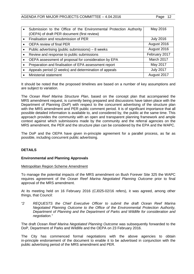| Submission to the Office of the Environmental Protection Authority | May 2016         |
|--------------------------------------------------------------------|------------------|
| (OEPA) of draft PER document (first review)                        |                  |
| Finalisation and resubmission of PER                               | <b>July 2016</b> |
| OEPA review of final PER                                           | August 2016      |
| Public advertising (public submissions) $-8$ weeks                 | August 2016      |
| Review and response to public submissions                          | February 2017    |
| OEPA assessment of proposal for consideration by EPA               | March 2017       |
| Preparation and finalisation of EPA assessment report              | May 2017         |
| Appeals period (2 weeks) and determination of appeals              | <b>July 2017</b> |
| <b>Ministerial statement</b>                                       | August 2017      |

It should be noted that the proposed timelines are based on a number of key assumptions and are subject to variation.

The *Ocean Reef Marina Structure Plan*, based on the concept plan that accompanied the MRS amendment request, is currently being prepared and discussions have taken place with the Department of Planning (DoP) with respect to the concurrent advertising of the structure plan with the MRS amendment and PER public comment period. It is of significant importance that all possible detailed information is available to, and considered by, the public at the same time. This approach provides the community with an open and transparent planning framework and ample context against which submissions made by the community and the referral agencies on the MRS amendment, the PER and the structure plan can be considered by the EPA and the WAPC.

The DoP and the OEPA have given in-principle agreement for a parallel process, as far as possible, including concurrent public advertising.

# **DETAILS**

# **Environmental and Planning Approvals**

#### Metropolitan Region Scheme Amendment

To manage the potential impacts of the MRS amendment on Bush Forever Site 325 the WAPC requires agreement of the *Ocean Reef Marina Negotiated Planning Outcome* prior to final approval of the MRS amendment.

At its meeting held on 16 February 2016 (CJ025-02/16 refers), it was agreed, among other things, that Council:

*"2 REQUESTS the Chief Executive Officer to submit the draft Ocean Reef Marina Negotiated Planning Outcome to the Office of the Environmental Protection Authority, Department of Planning and the Department of Parks and Wildlife for consideration and negotiation."*

The draft *Ocean Reef Marina Negotiated Planning Outcome* was subsequently forwarded to the DoP, Department of Parks and Wildlife and the OEPA on 23 February 2016.

The City has commenced formal negotiations with the above agencies to obtain in-principle endorsement of the document to enable it to be advertised in conjunction with the public advertising period of the MRS amendment and PER.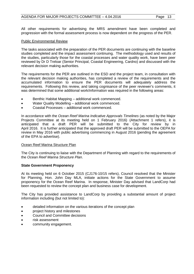All other requirements for advertising the MRS amendment have been completed and progression with the formal assessment process is now dependent on the progress of the PER.

# Public Environmental Review

The tasks associated with the preparation of the PER documents are continuing with the baseline studies completed and the impact assessment continuing. The methodology used and results of the studies, particularly those for the coastal processes and water quality work, have been peer reviewed by Dr D Treloar (Senior Principal, Coastal Engineering, Cardno) and discussed with the relevant decision making authorities.

The requirements for the PER are outlined in the ESD and the project team, in consultation with the relevant decision making authorities, has completed a review of the requirements and the accumulated information to ensure the PER documents will adequately address the requirements. Following this review, and taking cognisance of the peer reviewer's comments, it was determined that some additional work/information was required in the following areas:

- Benthic Habitat Mapping additional work commenced.
- Water Quality Modelling additional work commenced.
- Coastal Processes additional work commenced.

In accordance with the *Ocean Reef Marina Indicative Approvals Timelines* (as noted by the Major Projects Committee at its meeting held on 1 February 2016) (Attachment 1 refers), it is anticipated that a draft PER will be submitted to the City for review by in April 2016. It is further anticipated that the approved draft PER will be submitted to the OEPA for review in May 2016 with public advertising commencing in August 2016 (pending the agreement of the EPA to advertise).

# Ocean Reef Marina Structure Plan

The City is continuing to liaise with the Department of Planning with regard to the requirements of the *Ocean Reef Marina Structure Plan*.

# **State Government Proponency**

At its meeting held on 6 October 2015 (CJ176-10/15 refers), Council resolved that the Minister for Planning, Hon. John Day MLA, initiate actions for the State Government to assume proponency for the Ocean Reef Marina. In response, Minister Day advised that LandCorp had been requested to review the concept plan and business case for development.

The City has provided assistance to LandCorp by providing a substantial amount of project information including (but not limited to):

- detailed information on the various iterations of the concept plan
- project history and milestones
- Council and Committee decisions
- risk assessment
- community engagement.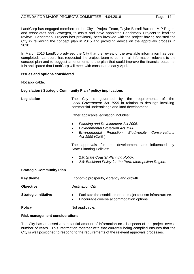LandCorp has engaged members of the City's Project Team, Taylor Burrell Barnett, M P Rogers and Associates and Strategen, to assist and have appointed Benchmark Projects to lead the review. Benchmark Projects has previously been involved with the project having assisted the City in reviewing the concept plan in 2015 and providing advice on the approvals process in 2010.

In March 2016 LandCorp advised the City that the review of the available information has been completed. Landcorp has requested the project team to confirm all information relevant to the concept plan and to suggest amendments to the plan that could improve the financial outcome. It is anticipated that LandCorp will meet with consultants early April.

### **Issues and options considered**

Not applicable.

### **Legislation / Strategic Community Plan / policy implications**

| Legislation |  | The City is governed by the requirements of the                                                              |  |  |  |
|-------------|--|--------------------------------------------------------------------------------------------------------------|--|--|--|
|             |  | Local Government Act 1995 in relation to dealings involving<br>commercial undertakings and land development. |  |  |  |
|             |  |                                                                                                              |  |  |  |

Other applicable legislation includes:

- *Planning and Development Act 2005.*
- *Environmental Protection Act 1986.*
- *Environmental Protection, Biodiversity Conservations Act 1999* (Cwlth).

The approvals for the development are influenced by State Planning Policies:

- *2.6: State Coastal Planning Policy.*
- *2.8: Bushland Policy for the Perth Metropolitan Region.*

#### **Strategic Community Plan**

| Key theme                   | Economic prosperity, vibrancy and growth.                                                                                           |  |  |
|-----------------------------|-------------------------------------------------------------------------------------------------------------------------------------|--|--|
| <b>Objective</b>            | Destination City.                                                                                                                   |  |  |
| <b>Strategic initiative</b> | Facilitate the establishment of major tourism infrastructure.<br>$\bullet$<br>Encourage diverse accommodation options.<br>$\bullet$ |  |  |
| <b>Policy</b>               | Not applicable.                                                                                                                     |  |  |

#### **Risk management considerations**

The City has amassed a substantial amount of information on all aspects of the project over a number of years. This information together with that currently being compiled ensures that the City is well positioned to respond to the requirements of the relevant approvals processes.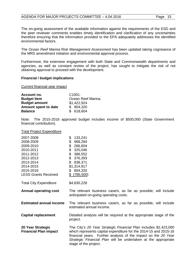# AGENDA FOR MAJOR PROJECTS COMMITTEE - 4.04.2016 Page 15

The on-going assessment of the available information against the requirements of the ESD and the peer reviewer comments enables timely identification and clarification of any uncertainties therefore ensuring that the information provided to the EPA adequately addresses the identified environmental factors.

The *Ocean Reef Marina Risk Management Assessment* has been updated taking cognisance of the MRS amendment initiation and environmental approval process.

Furthermore, the extensive engagement with both State and Commonwealth departments and agencies, as well as constant review of the project, has sought to mitigate the risk of not obtaining approval to proceed with the development.

### **Financial / budget implications**

Current financial year impact

| Account no.          | C <sub>1001</sub>  |
|----------------------|--------------------|
| <b>Budget Item</b>   | Ocean Reef Marina. |
| <b>Budget amount</b> | \$1,422,924        |
| Amount spent to date | \$ 804,320         |
| <b>Balance</b>       | \$618,604          |

Note: The 2015-2016 approved budget includes income of \$500,000 (State Government financial contribution).

#### Total Project Expenditure

| 2007-2008<br>2008-2009<br>2009-2010<br>2010-2011<br>2011-2012<br>2012-2013<br>2013-2014<br>2014-2015<br>2015-2016<br><b>LESS Grants Received</b> | \$<br>133,241<br>\$<br>968,284<br>\$<br>266,604<br>\$<br>325,046<br>\$<br>388,552<br>\$<br>376,393<br>\$<br>838,371<br>\$1,314,917<br>\$<br>804,320<br>$$^{(785,500)}$                                                                                                                            |
|--------------------------------------------------------------------------------------------------------------------------------------------------|---------------------------------------------------------------------------------------------------------------------------------------------------------------------------------------------------------------------------------------------------------------------------------------------------|
| <b>Total City Expenditure</b>                                                                                                                    | \$4,630,228                                                                                                                                                                                                                                                                                       |
| <b>Annual operating cost</b>                                                                                                                     | The relevant business case/s, as far as possible, will include<br>anticipated on-going operating costs.                                                                                                                                                                                           |
| <b>Estimated annual income</b>                                                                                                                   | The relevant business case/s, as far as possible, will include<br>estimated annual income.                                                                                                                                                                                                        |
| <b>Capital replacement</b>                                                                                                                       | Detailed analysis will be required at the appropriate stage of the<br>project.                                                                                                                                                                                                                    |
| 20 Year Strategic<br><b>Financial Plan impact</b>                                                                                                | The City's 20 Year Strategic Financial Plan includes \$2,423,000<br>which represents capital expenditure for the 2014-15 and 2015-16<br>financial years. Further analysis of the impact on the 20 Year<br>Strategic Financial Plan will be undertaken at the appropriate<br>stage of the project. |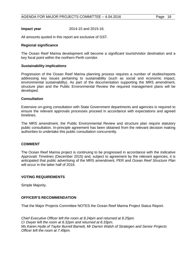### **Impact year** 2014-15 and 2015-16.

All amounts quoted in this report are exclusive of GST.

### **Regional significance**

The Ocean Reef Marina development will become a significant tourist/visitor destination and a key focal point within the northern Perth corridor.

#### **Sustainability implications**

Progression of the Ocean Reef Marina planning process requires a number of studies/reports addressing key issues pertaining to sustainability (such as social and economic impact, environmental sustainability). As part of the documentation supporting the MRS amendment, structure plan and the Public Environmental Review the required management plans will be developed.

#### **Consultation**

Extensive on-going consultation with State Government departments and agencies is required to ensure the relevant approvals processes proceed in accordance with expectations and agreed timelines.

The MRS amendment, the Public Environmental Review and structure plan require statutory public consultation. In-principle agreement has been obtained from the relevant decision making authorities to undertake this public consultation concurrently.

#### **COMMENT**

The Ocean Reef Marina project is continuing to be progressed in accordance with the *Indicative Approvals Timelines* (December 2015) and, subject to agreement by the relevant agencies, it is anticipated that public advertising of the MRS amendment, PER and *Ocean Reef Structure Plan* will occur in the latter half of 2016.

#### **VOTING REQUIREMENTS**

Simple Majority.

#### **OFFICER'S RECOMMENDATION**

That the Major Projects Committee NOTES the Ocean Reef Marina Project Status Report.

*Chief Executive Officer left the room at 8.24pm and returned at 8.25pm. Cr Dwyer left the room at 8.32pm and returned at 8.33pm. Ms Karen Hyde of Taylor Burrell Barnett, Mr Darren Walsh of Strategen and Senior Projects Officer left the room at 7.49pm.*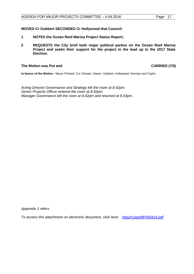### **MOVED Cr Gobbert SECONDED Cr Hollywood that Council:**

- **1 NOTES the Ocean Reef Marina Project Status Report;**
- **2 REQUESTS the City brief both major political parties on the Ocean Reef Marina Project and seeks their support for the project in the lead up to the 2017 State Election.**

#### **The Motion was Put and CARRIED (7/0)**

**In favour of the Motion:** Mayor Pickard, Crs Chester, Dwyer, Gobbert, Hollywood, Norman and Taylor.

*Acting Director Governance and Strategy left the room at 8.42pm. Senior Projects Officer entered the room at 8.42pm. Manager Governance left the room at 8.42pm and returned at 8.43pm.*

*Appendix 1 refers*

*[To access this attachment on electronic document, click here: Attach1agnMP040416.pdf](http://www.joondalup.wa.gov.au/files/committees/MAPC/2016/Attach1agnMP040416.pdf)*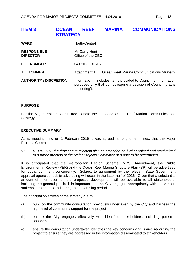<span id="page-17-0"></span>

| <b>ITEM3</b>                          | <b>OCEAN</b><br><b>STRATEGY</b> | <b>REEF</b>                        | <b>MARINA</b> | <b>COMMUNICATIONS</b>                                                                                                                |
|---------------------------------------|---------------------------------|------------------------------------|---------------|--------------------------------------------------------------------------------------------------------------------------------------|
| <b>WARD</b>                           |                                 | North-Central                      |               |                                                                                                                                      |
| <b>RESPONSIBLE</b><br><b>DIRECTOR</b> |                                 | Mr Garry Hunt<br>Office of the CEO |               |                                                                                                                                      |
| <b>FILE NUMBER</b>                    |                                 | 04171B, 101515                     |               |                                                                                                                                      |
| <b>ATTACHMENT</b>                     |                                 | Attachment 1                       |               | Ocean Reef Marina Communications Strategy                                                                                            |
| <b>AUTHORITY / DISCRETION</b>         |                                 | for 'noting').                     |               | Information – includes items provided to Council for information<br>purposes only that do not require a decision of Council (that is |

### **PURPOSE**

For the Major Projects Committee to note the proposed Ocean Reef Marina Communications Strategy.

# **EXECUTIVE SUMMARY**

At its meeting held on 1 February 2016 it was agreed, among other things, that the Major Projects Committee:

*"3 REQUESTS the draft communication plan as amended be further refined and resubmitted to a future meeting of the Major Projects Committee at a date to be determined."*

It is anticipated that the Metropolitan Region Scheme (MRS) Amendment, the Public Environmental Review (PER) and the Ocean Reef Marina Structure Plan (SP) will be advertised for public comment concurrently. Subject to agreement by the relevant State Government approval agencies, public advertising will occur in the latter half of 2016. Given that a substantial amount of information on the proposed development will be available to all stakeholders, including the general public, it is important that the City engages appropriately with the various stakeholders prior to and during the advertising period.

The principal objectives of the strategy are to:

- (a) build on the community consultation previously undertaken by the City and harness the high level of community support for the project
- (b) ensure the City engages effectively with identified stakeholders, including potential opponents
- (c) ensure the consultation undertaken identifies the key concerns and issues regarding the project to ensure they are addressed in the information disseminated to stakeholders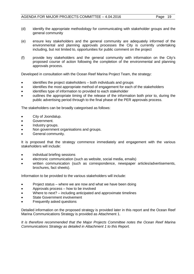- (d) identify the appropriate methodology for communicating with stakeholder groups and the general community
- (e) ensure key stakeholders and the general community are adequately informed of the environmental and planning approvals processes the City is currently undertaking including, but not limited to, opportunities for public comment on the project
- (f) provide key stakeholders and the general community with information on the City's proposed course of action following the completion of the environmental and planning approvals process.

Developed in consultation with the Ocean Reef Marina Project Team, the strategy:

- identifies the project stakeholders both individuals and groups
- identifies the most appropriate method of engagement for each of the stakeholders
- identifies type of information to provided to each stakeholder
- outlines the appropriate timing of the release of the information both prior to, during the public advertising period through to the final phase of the PER approvals process.

The stakeholders can be broadly categorised as follows:

- City of Joondalup.
- Government.
- Industry groups.
- Non government organisations and groups.
- General community.

It is proposed that the strategy commence immediately and engagement with the various stakeholders will include:

- individual briefing sessions
- electronic communication (such as website, social media, emails)
- written communication (such as correspondence, newspaper articles/advertisements, brochures, fact sheets).

Information to be provided to the various stakeholders will include:

- Project status where we are now and what we have been doing
- Approvals process how to be involved
- Where to next? including anticipated and approximate timelines
- State Government involvement
- Frequently asked questions

Detailed information on the proposed strategy is provided later in this report and the Ocean Reef Marina Communications Strategy is provided as Attachment 1.

*It is therefore recommended that the Major Projects Committee notes the Ocean Reef Marina Communications Strategy as detailed in Attachment 1 to this Report.*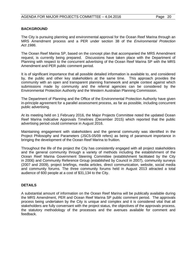## **BACKGROUND**

The City is pursuing planning and environmental approval for the Ocean Reef Marina through an MRS Amendment process and a PER under section 38 of the *Environmental Protection Act 1986*.

The Ocean Reef Marina SP, based on the concept plan that accompanied the MRS Amendment request, is currently being prepared. Discussions have taken place with the Department of Planning with respect to the concurrent advertising of the Ocean Reef Marina SP with the MRS Amendment and PER public comment period.

It is of significant importance that all possible detailed information is available to, and considered by, the public and other key stakeholders at the same time. This approach provides the community with an open and transparent planning framework and ample context against which submissions made by community and the referral agencies can be considered by the Environmental Protection Authority and the Western Australian Planning Commission.

The Department of Planning and the Office of the Environmental Protection Authority have given in-principle agreement for a parallel assessment process, as far as possible, including concurrent public advertising.

At its meeting held on 1 February 2016, the Major Projects Committee noted the updated Ocean Reef Marina Indicative Approvals Timelines (December 2015) which reported that the public advertising period could commence in August 2016.

Maintaining engagement with stakeholders and the general community was identified in the Project Philosophy and Parameters (JSC5-05/09 refers) as being of paramount importance in bringing the development of the Ocean Reef Marina to fruition.

Throughout the life of the project the City has consistently engaged with all project stakeholders and the general community through a variety of methods including the establishment of the Ocean Reef Marina Government Steering Committee (establishment facilitated by the City in 2006) and Community Reference Group (established by Council in 2007), community surveys (2007 and 2009), project briefings, media articles, direct communication, website, social media and community forums. The three community forums held in August 2013 attracted a total audience of 600 people at a cost of \$31,134 to the City.

# **DETAILS**

A substantial amount of information on the Ocean Reef Marina will be publically available during the MRS Amendment, PER and Ocean Reef Marina SP public comment period. The approvals process being undertaken by the City is unique and complex and it is considered vital that all stakeholders are fully conversant with the project status, the objectives of the approvals process, the statutory methodology of the processes and the avenues available for comment and feedback.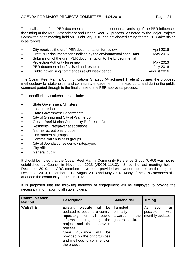The finalisation of the PER documentation and the subsequent advertising of the PER influences the timing of the MRS Amendment and Ocean Reef SP process. As noted by the Major Projects Committee at its meeting held on 1 February 2016, the anticipated timing for the PER advertising is as follows:

| $\bullet$ | City receives the draft PER documentation for review              | April 2016       |
|-----------|-------------------------------------------------------------------|------------------|
| $\bullet$ | Draft PER documentation finalised by the environmental consultant | May 2016         |
| $\bullet$ | Submission of the draft PER documentation to the Environmental    |                  |
|           | Protection Authority for review                                   | May 2016         |
| $\bullet$ | PER documentation finalised and resubmitted                       | <b>July 2016</b> |
| $\bullet$ | Public advertising commences (eight week period)                  | August 2016      |

The Ocean Reef Marina Communications Strategy (Attachment 1 refers) outlines the proposed methodology for stakeholder and community engagement in the lead up to and during the public comment period through to the final phase of the PER approvals process.

The identified key stakeholders include:

- State Government Ministers
- Local members
- **State Government Departments**
- City of Stirling and City of Wanneroo
- Ocean Reef Marina Community Reference Group
- Residents / ratepayer associations
- Marine recreational groups
- Environmental groups
- Commercial / business groups
- City of Joondalup residents / ratepayers
- City officers
- General public.

It should be noted that the Ocean Reef Marina Community Reference Group (CRG) was not reestablished by Council in November 2013 (JSC06-11/13). Since the last meeting held in December 2010, the CRG members have been provided with written updates on the project in December 2010, December 2012, August 2013 and May 2014. Many of the CRG members also attended the community forums in 2013.

It is proposed that the following methods of engagement will be employed to provide the necessary information to all stakeholders:

| <b>Communication</b><br><b>Method</b> | <b>Description</b><br><b>Stakeholder</b>                                                                                                                                                                                                                                                      |                                                            | <b>Timing</b>                                            |  |
|---------------------------------------|-----------------------------------------------------------------------------------------------------------------------------------------------------------------------------------------------------------------------------------------------------------------------------------------------|------------------------------------------------------------|----------------------------------------------------------|--|
| <b>WEBSITE</b>                        | Existing<br>website will<br>be<br>updated to become a central<br>for all<br>repository<br>public<br>information<br>regarding<br>the<br>project and the approvals<br>process.<br>Clear<br>guidance<br>will<br>be<br>provided on the opportunities<br>and methods to comment on<br>the project. | Targeted<br>primarily<br>towards<br>the<br>general public. | As<br>as<br>soon<br>with<br>possible<br>monthly updates. |  |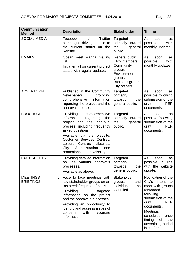# AGENDA FOR MAJOR PROJECTS COMMITTEE - 4.04.2016 Page 22

| <b>Communication</b><br><b>Method</b> | <b>Description</b>                                                                                                                                                                                                                                                                                                  | <b>Stakeholder</b>                                                                                                                | <b>Timing</b>                                                                                                                                                                                                                                     |
|---------------------------------------|---------------------------------------------------------------------------------------------------------------------------------------------------------------------------------------------------------------------------------------------------------------------------------------------------------------------|-----------------------------------------------------------------------------------------------------------------------------------|---------------------------------------------------------------------------------------------------------------------------------------------------------------------------------------------------------------------------------------------------|
| <b>SOCIAL MEDIA</b>                   | Facebook<br>Twitter<br>campaigns driving people to<br>the current status on the<br>website.                                                                                                                                                                                                                         | Targeted<br>primarily toward<br>the<br>general<br>public.                                                                         | As<br>soon<br>as<br>possible<br>with<br>monthly updates.                                                                                                                                                                                          |
| <b>EMAILS</b>                         | Ocean Reef Marina mailing<br>list.<br>Initial email on current project<br>status with regular updates.                                                                                                                                                                                                              | General public<br><b>CRG</b> members<br>Community<br>groups<br>Environmental<br>groups<br><b>Business groups</b><br>City officers | As<br>soon<br>as<br>possible<br>with<br>monthly updates.                                                                                                                                                                                          |
| <b>ADVERTORIAL</b>                    | Published in the Community<br>providing<br>Newspapers<br>information<br>comprehensive<br>regarding the project and the<br>approval process.                                                                                                                                                                         | Targeted<br>primarily<br>towards<br>the<br>general public.                                                                        | As<br>soon<br>as<br>possible following<br>submission of the<br><b>PER</b><br>draft<br>documents.                                                                                                                                                  |
| <b>BROCHURE</b>                       | Providing<br>comprehensive<br>information<br>regarding<br>the<br>the<br>project and<br>approval<br>process, including frequently<br>asked questions.<br>Available via the website,<br>Customer Services Centres,<br>Centres, Libraries,<br>Leisure<br>Administration<br>City<br>and<br>promotional booths/displays. | Targeted<br>primarily toward<br>the<br>general<br>public.                                                                         | As<br>soon<br>as<br>possible following<br>submission of the<br>draft<br><b>PER</b><br>documents.                                                                                                                                                  |
| <b>FACT SHEETS</b>                    | Providing detailed information<br>the various approvals<br>on<br>processes.<br>Available as above.                                                                                                                                                                                                                  | Targeted<br>primarily<br>towards<br>the<br>general public.                                                                        | As<br>soon<br>as<br>possible<br>line<br>in<br>with the website<br>update.                                                                                                                                                                         |
| <b>MEETINGS</b><br><b>BRIEFINGS</b>   | Face to face meetings with<br>key stakeholder groups on an<br>"as needs/requested" basis.<br>Providing<br>targeted<br>information on the project<br>and the approvals processes.<br>Providing an opportunity to<br>identify and address issues of<br>concern<br>with<br>accurate<br>information.                    | Stakeholder<br>groups<br>and<br>individuals<br>as<br>identified.                                                                  | Notification of the<br>City's intent<br>to<br>meet with groups<br>forwarded<br>following<br>submission of the<br>draft<br><b>PER</b><br>documents.<br>Meetings<br>scheduled<br>once<br>timing<br>of<br>the<br>advertising period<br>is confirmed. |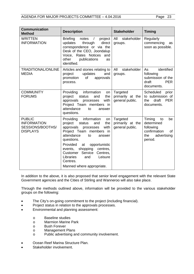# AGENDA FOR MAJOR PROJECTS COMMITTEE - 4.04.2016 Page 23

| <b>Communication</b><br><b>Method</b>                                      | <b>Description</b>                                                                                                                                                                                                                                                                                                                                       | <b>Stakeholder</b>                              | <b>Timing</b>                                                                                        |  |
|----------------------------------------------------------------------------|----------------------------------------------------------------------------------------------------------------------------------------------------------------------------------------------------------------------------------------------------------------------------------------------------------------------------------------------------------|-------------------------------------------------|------------------------------------------------------------------------------------------------------|--|
| <b>WRITTEN</b><br><b>INFORMATION</b>                                       | <b>Briefing</b><br>notes<br>project<br>$\sqrt{2}$<br>updates<br>direct<br>through<br>correspondence or via the<br>Desk of the CEO, Joondalup<br>Voice, Rates Notices<br>and<br>other<br>publications<br>as<br>identified.                                                                                                                                | All<br>stakeholder<br>groups.                   | Regularly<br>commencing<br>as<br>soon as possible.                                                   |  |
| <b>TRADITIONAL/ONLINE</b><br><b>MEDIA</b>                                  | Articles and stories relating to<br>updates<br>and<br>project<br>of<br>promotion<br>approvals<br>process.                                                                                                                                                                                                                                                | stakeholder<br>All<br>groups.                   | identified<br>As<br>following<br>submission of the<br>draft<br><b>PER</b><br>documents.              |  |
| <b>COMMUNITY</b><br><b>FORUMS</b>                                          | Providing<br>information<br>on<br>project<br>the<br>status<br>and<br>with<br>approvals<br>processes<br>Project Team members in<br>attendance<br>to<br>answer<br>questions.                                                                                                                                                                               | Targeted<br>primarily at the<br>general public. | Scheduled<br>prior<br>to submission of<br>the<br>draft<br><b>PER</b><br>documents.                   |  |
| <b>PUBLIC</b><br><b>INFORMATION</b><br>SESSIONS/BOOTHS/<br><b>DISPLAYS</b> | information<br>Providing<br>on<br>project<br>the<br>status<br>and<br>with<br>approvals<br>processes<br>Project Team members in<br>attendance<br>to<br>answer<br>questions.<br>Provided<br>opportunistic<br>at<br>shopping<br>centres,<br>events,<br>Customer Service<br>Centres,<br>Leisure<br>Libraries<br>and<br>Centres.<br>Manned where appropriate. | Targeted<br>primarily at the<br>general public. | Timing<br>be<br>to<br>determined<br>following<br>confirmation<br>0f<br>the<br>advertising<br>period. |  |

In addition to the above, it is also proposed that senior level engagement with the relevant State Government agencies and the Cities of Stirling and Wanneroo will also take place.

Through the methods outlined above, information will be provided to the various stakeholder groups on the following:

- The City's on-going commitment to the project (including financial).
- Project status in relation to the approvals processes.
- Environmental and planning assessment:
	- o Baseline studies<br>
	o Marmion Marine
	- o Marmion Marine Park<br>o Bush Forever
	- o Bush Forever<br>
	o Management
	- **Management Plans**
	- o Public advertising and community involvement.
- Ocean Reef Marina Structure Plan.
- Stakeholder involvement.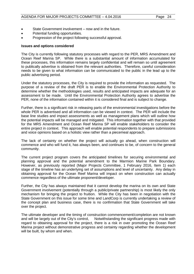- State Government involvement now and in the future.
- Potential funding opportunities.
- Progression of the project following successful approval.

# **Issues and options considered**

The City is currently following statutory processes with regard to the PER, MRS Amendment and Ocean Reef Marina SP. While there is a substantial amount of information accumulated for these processes, this information remains largely confidential and will remain so until agreement to publically advertise is obtained from the relevant authorities. Therefore, careful consideration needs to be given to what information can be communicated to the public in the lead up to the public advertising period.

Under the statutory processes, the City is required to provide the information as requested. The purpose of a review of the draft PER is to enable the Environmental Protection Authority to determine whether the methodologies used, results and anticipated impacts are adequate for an assessment to be made. Until the Environmental Protection Authority agrees to advertise the PER, none of the information contained within it is considered final and is subject to change.

Further, there is a significant risk in releasing parts of the environmental investigations before the whole PER is advertised and all information can be viewed in context. The PER will include the base line studies and impact assessments as well as management plans which will outline how the potential impacts will be managed and mitigated. This information together with that provided for the MRS Amendment and Ocean Reef Marina SP will enable stakeholders to consider the entire project in context. This approach will enable potential respondents to prepare submissions and voice opinions based on a holistic view rather than a piecemeal approach.

The lack of certainty on whether the project will actually go ahead, when construction will commence and who will fund it, has always been, and continues to be, of concern to the general community.

The current project program covers the anticipated timelines for securing environmental and planning approval and the potential amendment to the Marmion Marine Park Boundary. However, as previously reported (Major Projects Committee, 1 February 2016, Item 1) each stage of the timeline has an underlying set of assumptions and level of uncertainty. Any delay in obtaining approval for the Ocean Reef Marina will impact on when construction can actually commence regardless of the ultimate proponent/developer.

Further, the City has always maintained that it cannot develop the marina on its own and State Government involvement (potentially through a public/private partnership) is most likely the only mechanism for bringing the project to fruition. While the City has been in negotiation with the State Government on this issue for some time and LandCorp is currently undertaking a review of the concept plan and business case, there is no confirmation that State Government will take over the project.

The ultimate developer and the timing of construction commencement/completion are not known and will be largely out of the City's control, Notwithstanding the significant progress made with regard to obtaining approval for the project, there is a risk in over promoting the Ocean Reef Marina project without demonstrative progress and certainty regarding whether the development will be built, by whom and when.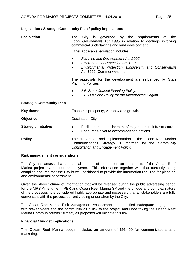# **Legislation / Strategic Community Plan / policy implications**

| Legislation                                                                            | The City is governed by the requirements<br>the<br>of<br>Local Government Act 1995 in relation to dealings involving<br>commercial undertakings and land development.                            |  |  |  |
|----------------------------------------------------------------------------------------|--------------------------------------------------------------------------------------------------------------------------------------------------------------------------------------------------|--|--|--|
|                                                                                        | Other applicable legislation includes:                                                                                                                                                           |  |  |  |
|                                                                                        | Planning and Development Act 2005.<br><b>Environmental Protection Act 1986.</b><br>$\bullet$<br>Environmental Protection, Biodiversity and Conservation<br>$\bullet$<br>Act 1999 (Commonwealth). |  |  |  |
| The approvals for the development are influenced by State<br><b>Planning Policies:</b> |                                                                                                                                                                                                  |  |  |  |
|                                                                                        | 2.6: State Coastal Planning Policy.<br>$\bullet$<br>2.8: Bushland Policy for the Metropolitan Region.                                                                                            |  |  |  |
| <b>Strategic Community Plan</b>                                                        |                                                                                                                                                                                                  |  |  |  |
| <b>Key theme</b>                                                                       | Economic prosperity, vibrancy and growth.                                                                                                                                                        |  |  |  |
| Objective                                                                              | Destination City.                                                                                                                                                                                |  |  |  |
| <b>Strategic initiative</b>                                                            | Facilitate the establishment of major tourism infrastructure.<br>Encourage diverse accommodation options.<br>$\bullet$                                                                           |  |  |  |
| <b>Policy</b>                                                                          | The preparation and implementation of the Ocean Reef Marina<br>Communications Strategy is informed<br>by the Community<br>Consultation and Engagement Policy.                                    |  |  |  |

#### **Risk management considerations**

The City has amassed a substantial amount of information on all aspects of the Ocean Reef Marina project over a number of years. This information together with that currently being compiled ensures that the City is well positioned to provide the information required for planning and environmental assessment.

Given the sheer volume of information that will be released during the public advertising period for the MRS Amendment, PER and Ocean Reef Marina SP and the unique and complex nature of the processes, it is considered highly appropriate and necessary that all stakeholders are fully conversant with the process currently being undertaken by the City.

The Ocean Reef Marina Risk Management Assessment has identified inadequate engagement with stakeholders and the community as a risk to the project and undertaking the Ocean Reef Marina Communications Strategy as proposed will mitigate this risk.

#### **Financial / budget implications**

The Ocean Reef Marina budget includes an amount of \$93,450 for communications and marketing.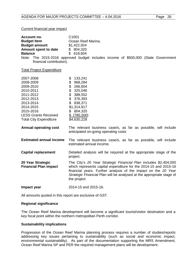#### Current financial year impact

| Account no.<br><b>Budget Item</b><br><b>Budget amount</b><br>Amount spent to date<br><b>Balance</b><br>financial contribution).                                                   | C1001<br>Ocean Reef Marina.<br>\$1,422,924<br>\$804,320<br>\$618,604<br>Note: The 2015-2016 approved budget includes income of \$500,000 (State Government                                                                                                                                      |
|-----------------------------------------------------------------------------------------------------------------------------------------------------------------------------------|-------------------------------------------------------------------------------------------------------------------------------------------------------------------------------------------------------------------------------------------------------------------------------------------------|
| <b>Total Project Expenditure</b>                                                                                                                                                  |                                                                                                                                                                                                                                                                                                 |
| 2007-2008<br>2008-2009<br>2009-2010<br>2010-2011<br>2011-2012<br>2012-2013<br>2013-2014<br>2014-2015<br>2015-2016<br><b>LESS Grants Received</b><br><b>Total City Expenditure</b> | 133,241<br>\$<br>\$<br>968,284<br>\$<br>266,604<br>\$<br>325,046<br>\$<br>388,552<br>\$<br>376,393<br>\$838,371<br>\$1,314,917<br>\$804,320<br>$$$ (785,500)<br>\$4,630,228                                                                                                                     |
| <b>Annual operating cost</b>                                                                                                                                                      | The relevant business case/s, as far as possible, will include<br>anticipated on-going operating costs                                                                                                                                                                                          |
| <b>Estimated annual income</b>                                                                                                                                                    | The relevant business case/s, as far as possible, will include<br>estimated annual income.                                                                                                                                                                                                      |
| <b>Capital replacement</b>                                                                                                                                                        | Detailed analysis will be required at the appropriate stage of the<br>project.                                                                                                                                                                                                                  |
| 20 Year Strategic<br><b>Financial Plan impact</b>                                                                                                                                 | The City's 20 Year Strategic Financial Plan includes \$2,404,000<br>which represents capital expenditure for the 2014-15 and 2015-16<br>financial years. Further analysis of the impact on the 20 Year<br>Strategic Financial Plan will be analysed at the appropriate stage of<br>the project. |
| Impact year                                                                                                                                                                       | 2014-15 and 2015-16.                                                                                                                                                                                                                                                                            |

All amounts quoted in this report are exclusive of GST.

#### **Regional significance**

The Ocean Reef Marina development will become a significant tourist/visitor destination and a key focal point within the northern metropolitan Perth corridor.

# **Sustainability implications**

Progression of the Ocean Reef Marina planning process requires a number of studies/reports addressing key issues pertaining to sustainability (such as social and economic impact, environmental sustainability). As part of the documentation supporting the MRS Amendment, Ocean Reef Marina SP and PER the required management plans will be development.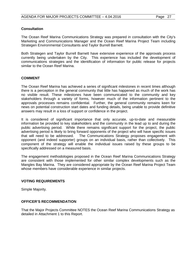# **Consultation**

The Ocean Reef Marina Communications Strategy was prepared in consultation with the City's Marketing and Communications Manager and the Ocean Reef Marina Project Team including Strategen Environmental Consultants and Taylor Burrell Barnett.

Both Strategen and Taylor Burrell Barnett have extensive experience of the approvals process currently being undertaken by the City. This experience has included the development of communications strategies and the identification of information for public release for projects similar to the Ocean Reef Marina.

# **COMMENT**

The Ocean Reef Marina has achieved a series of significant milestones in recent times although there is a perception in the general community that little has happened as much of the work has no visible result. These milestones have been communicated to the community and key stakeholders through a variety of forms, however much of the information pertinent to the approvals processes remains confidential. Further, the general community remains keen for news on potential construction start dates and funding details, being unable to provide definitive answers may result in a loss of support or confidence in the project.

It is considered of significant importance that only accurate, up-to-date and measurable information be provided to key stakeholders and the community in the lead up to and during the public advertising period. While there remains significant support for the project, the public advertising period is likely to bring forward opponents of the project who will have specific issues that will need to be addressed. The Communications Strategy proposes engagement with opponent (and indeed supporter) groups on an individual basis, rather than collectively. This component of the strategy will enable the individual issues raised by these groups to be specifically addressed on a measured basis.

The engagement methodologies proposed in the Ocean Reef Marina Communications Strategy are consistent with those implemented for other similar complex developments such as the Mangles Bay Marina. They are considered appropriate by the Ocean Reef Marina Project Team whose members have considerable experience in similar projects.

# **VOTING REQUIREMENTS**

Simple Majority.

# **OFFICER'S RECOMMENDATION**

That the Major Projects Committee NOTES the Ocean Reef Marina Communications Strategy as detailed in Attachment 1 to this Report.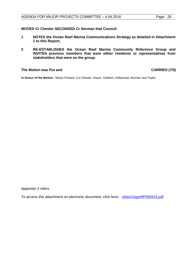**MOVED Cr Chester SECONDED Cr Norman that Council:**

- **1 NOTES the Ocean Reef Marina Communications Strategy as detailed in Attachment 1 to this Report;**
- **2 RE-ESTABLISHES the Ocean Reef Marina Community Reference Group and INVITES previous members that were either residents or representatives from stakeholders that were on the group.**

#### **The Motion was Put and CARRIED (7/0)**

**In favour of the Motion:** Mayor Pickard, Crs Chester, Dwyer, Gobbert, Hollywood, Norman and Taylor.

*Appendix 2 refers*

*[To access this attachment on electronic document, click here: Attach2agnMP040416.pdf](http://www.joondalup.wa.gov.au/files/committees/MAPC/2016/Attach2agnMP040416.pdf)*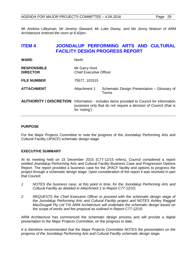*Architecture entered the room at 8.42pm.* 

*Mr Andrew Lilleyman, Mr Jeremy Steward, Mr Luke Davey, and Ms Jenny Watson of ARM* 

# <span id="page-28-0"></span>**ITEM 4 JOONDALUP PERFORMING ARTS AND CULTURAL FACILITY DESIGN PROGRESS REPORT**

| <b>WARD</b>                           | <b>North</b>                                                                                                                                           |                                                      |  |
|---------------------------------------|--------------------------------------------------------------------------------------------------------------------------------------------------------|------------------------------------------------------|--|
| <b>RESPONSIBLE</b><br><b>DIRECTOR</b> | Mr Garry Hunt<br><b>Chief Executive Officer</b>                                                                                                        |                                                      |  |
| <b>FILE NUMBER</b>                    | 75577, 101515                                                                                                                                          |                                                      |  |
| <b>ATTACHMENT</b>                     | Attachment 1                                                                                                                                           | Schematic Design Presentation - Glossary of<br>Terms |  |
| <b>AUTHORITY / DISCRETION</b>         | Information - includes items provided to Council for information<br>purposes only that do not require a decision of Council (that is<br>for 'noting'). |                                                      |  |

# **PURPOSE**

For the Major Projects Committee to note the progress of the Joondalup Performing Arts and Cultural Facility (JPACF) schematic design stage.

# **EXECUTIVE SUMMARY**

At its meeting held on 15 December 2015 (C77-12/15 refers), Council considered a report entitled Joondalup Performing Arts and Cultural Facility Business Case and Progression Options Report. The report provided a business case for the JPACF facility and options to progress the project through a schematic design stage. Upon consideration of the report it was resolved in part that Council:

- *1 NOTES the business case, at this point in time, for the Joondalup Performing Arts and Cultural Facility as detailed in Attachment 1 to Report C77-12/15;*
- *2 REQUESTS the Chief Executive Officer to proceed with the schematic design stage of the Joondalup Performing Arts and Cultural Facility project and NOTES Ashley Raggatt MacDougall Pty Ltd T/A ARM Architecture will undertake the schematic design based on the scope of works and fee proposal as outlined in Report C77-12/15;*

ARM Architecture has commenced the schematic design process and will provide a digital presentation to the Major Projects Committee, on the progress to date.

*It is therefore recommended that the Major Projects Committee NOTES the presentation on the progress of the Joondalup Performing Arts and Cultural Facility schematic design stage.*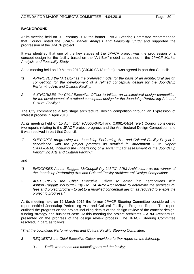# **BACKGROUND**

At its meeting held on 20 February 2013 the former JPACF Steering Committee recommended that Council noted the JPACF *Market Analysis and Feasibility Study* and supported the progression of the JPACF project.

It was identified that one of the key stages of the JPACF project was the progression of a concept design for the facility based on the "Art Box" model as outlined in the JPACF *Market Analysis and Feasibility Study*.

At its meeting held on 19 March 2013 (CJ040-03/13 refers) it was agreed in part that Council:

- *"1 APPROVES the "Art Box" as the preferred model for the basis of an architectural design competition for the development of a refined conceptual design for the Joondalup Performing Arts and Cultural Facility;*
- *2 AUTHORISES the Chief Executive Officer to initiate an architectural design competition for the development of a refined conceptual design for the Joondalup Performing Arts and Cultural Facility."*

The City commenced a two stage architectural design competition through an Expression of Interest process in April 2013.

At its meeting held on 15 April 2014 (CJ060-04/14 and CJ061-04/14 refer) Council considered two reports relating to the JPACF project progress and the Architectural Design Competition and it was resolved in part that Council:

*"2 SUPPORTS progressing the Joondalup Performing Arts and Cultural Facility Project in accordance with the project program as detailed in Attachment 2 to Report CJ060-04/14, including the undertaking of a social impact assessment of the Joondalup Performing Arts and Cultural Facility."*

and

- *"1 ENDORSES Ashton Raggatt McDougall Pty Ltd T/A ARM Architecture as the winner of the Joondalup Performing Arts and Cultural Facility Architectural Design Competition;*
- *2 AUTHORISES the Chief Executive Officer to enter into negotiations with Ashton Raggatt McDougall Pty Ltd T/A ARM Architecture to determine the architectural fees and project program to get to a modified conceptual design as required to enable the project to progress."*

At its meeting held on 12 March 2015 the former JPACF Steering Committee considered the report entitled Joondalup Performing Arts and Cultural Facility – Progress Report. The report outlined the progress on the project including details of the design review of the concept design, funding strategy and business case. At this meeting the project architects – ARM Architecture, presented on the progress of the design review process. The JPACF Steering Committee resolved, in part, as follows:

*"That the Joondalup Performing Arts and Cultural Facility Steering Committee:*

- *3 REQUESTS the Chief Executive Officer provide a further report on the following:*
	- *3.1 Traffic treatments and modelling around the facility;*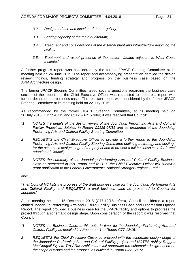- *3.2 Designated use and location of the art gallery;*
- *3.3 Seating capacity of the main auditorium;*
- *3.4 Treatment and considerations of the external plant and infrastructure adjoining the facility;*
- *3.5 Treatment and visual presence of the eastern facade adjacent to West Coast Institute."*

A further progress report was considered by the former JPACF Steering Committee at its meeting held on 24 June 2015. The report and accompanying presentation detailed the design review findings, funding strategy and progress on the business case based on the ARM Architecture design.

The former JPACF Steering Committee raised several questions regarding the business case section of the report and the Chief Executive Officer was requested to prepare a report with further details on the business case. The resultant report was considered by the former JPACF Steering Committee at its meeting held on 22 July 2015.

As recommended by the former JPACF Steering Committee, at its meeting held on 28 July 2015 (CJ125-0715 and CJ126-07/15 refer) it was resolved that Council:

- *"1 NOTES the details of the design review of the Joondalup Performing Arts and Cultural Facility Project as detailed in Report CJ125-07/15 and as presented at the Joondalup Performing Arts and Cultural Facility Steering Committee;*
- *2 REQUESTS the Chief Executive Officer to provide a further report to the Joondalup Performing Arts and Cultural Facility Steering Committee outlining a strategy and costings for the schematic design stage of the project and to present a full business case for formal adoption of Council;*
- *3 NOTES the summary of the Joondalup Performing Arts and Cultural Facility Business Case as presented in this Report and NOTES the Chief Executive Officer will submit a grant application to the Federal Government's National Stronger Regions Fund."*

and:

*"That Council NOTES the progress of the draft business case for the Joondalup Performing Arts and Cultural Facility and REQUESTS a final business case be presented to Council for adoption."*

At its meeting held on 15 December 2015 (C77-12/15 refers), Council considered a report entitled Joondalup Performing Arts and Cultural Facility Business Case and Progression Options Report. The report provided a business case for the JPACF facility and options to progress the project through a schematic design stage. Upon consideration of the report it was resolved that Council:

- *"1 NOTES the Business Case, at this point in time, for the Joondalup Performing Arts and Cultural Facility as detailed in Attachment 1 to Report C77-12/15;*
- *2 REQUESTS the Chief Executive Officer to proceed with the schematic design stage of the Joondalup Performing Arts and Cultural Facility project and NOTES Ashley Raggatt MacDougall Pty Ltd T/A ARM Architecture will undertake the schematic design based on the scope of works and fee proposal as outlined in Report C77-12/15;*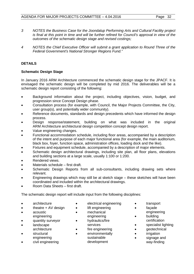- *3 NOTES the Business Case for the Joondalup Performing Arts and Cultural Facility project is final at this point in time and will be further refined for Council's approval in view of the outcomes of the schematic design stage and revised costings;*
- *4 NOTES the Chief Executive Officer will submit a grant application to Round Three of the Federal Government's National Stronger Regions Fund."*

# **DETAILS**

# **Schematic Design Stage**

In January 2016 ARM Architecture commenced the schematic design stage for the JPACF. It is envisaged the schematic design will be completed by mid 2016. The deliverables will be a schematic design report consisting of the following:

- Background information about the project, including objectives, vision, budget, and progression since Concept Design phase.
- Consultation process (for example, with Council, the Major Projects Committee, the City, user group(s), and potentially wider community).
- Reference documents, standards and design precedents which have informed the design process.
- Design response/statement, building on what was included in the original ARM Architecture architectural design competition concept design report.
- Value engineering changes.
- Functional accommodation schedule, including floor areas, accompanied by a description of the intent and purpose of each major functional area (for example, the main auditorium, black box, foyer, function space, administration offices, loading dock and the like).
- Fixtures and equipment schedule, accompanied by a description of major elements.
- Schematic design architectural drawings, including site plan, all floor plans, elevations and building sections at a large scale, usually 1:100 or 1:200.
- Rendered views.
- Materials schedule first draft.
- Schematic Design Reports from all sub-consultants, including drawing sets where relevant.
- Engineering drawings which may still be at sketch stage these sketches will have been coordinated and included within the architectural drawings.
- Room Data Sheets first draft.

The schematic design report will include input from the following disciplines:

- architecture
- theatre  $+$  AV design
- acoustic
- engineering
- quantity surveyor
- landscape
- architecture
- structural engineering
- civil engineering
- electrical engineering
- lift engineering
- mechanical engineering
	- hydraulics/fire services
	- fire engineering
	- environmentally
		- sustainable development
- transport
- facade
	- engineering
- **building**
- certification
- specialist lighting
- geotechnical
- **irrigation**
- signage and way-finding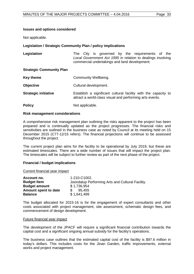# **Issues and options considered**

Not applicable.

# **Legislation / Strategic Community Plan / policy implications**

| Legislation                     |  | commercial undertakings and land development. |  | The City is governed by the requirements of the<br>Local Government Act 1995 in relation to dealings involving |  |
|---------------------------------|--|-----------------------------------------------|--|----------------------------------------------------------------------------------------------------------------|--|
| <b>Strategic Community Plan</b> |  |                                               |  |                                                                                                                |  |

| <b>Key theme</b> | Community Wellbeing. |
|------------------|----------------------|
|                  |                      |

| Cultural development. |
|-----------------------|
|                       |

- **Strategic initiative Establish a significant cultural facility with the capacity to** attract a world-class visual and performing arts events.
- **Policy** Not applicable.

### **Risk management considerations**

A comprehensive risk management plan outlining the risks apparent to the project has been prepared and is continually updated as the project progresses. The financial risks and sensitivities are outlined in the business case as noted by Council at its meeting held on 15 December 2015 (C77-12/15 refers). The financial projections will continue to be assessed throughout the project.

The current project plan aims for the facility to be operational by July 2019, but these are estimated timescales. There are a wide number of issues that will impact the project plan. The timescales will be subject to further review as part of the next phase of the project.

# **Financial / budget implications**

#### Current financial year impact

| Account no.          | 1-210-C1002.                                     |
|----------------------|--------------------------------------------------|
| <b>Budget Item</b>   | Joondalup Performing Arts and Cultural Facility. |
| <b>Budget amount</b> | \$1,736,954                                      |
| Amount spent to date | 95,455                                           |
| <b>Balance</b>       | \$1,641,499                                      |

The budget allocated for 2015-16 is for the engagement of expert consultants and other costs associated with project management, site assessment, schematic design fees, and commencement of design development.

#### Future financial year impact

The development of the JPACF will require a significant financial contribution towards the capital cost and a significant ongoing annual subsidy for the facility's operations.

The business case outlines that the estimated capital cost of the facility is \$97.6 million in today's dollars. This includes costs for the Jinan Garden, traffic improvements, external works and project management.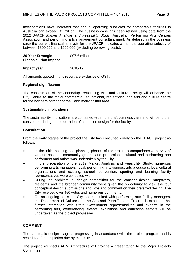Investigations have indicated that annual operating subsidies for comparable facilities in Australia can exceed \$1 million. The business case has been refined using data from the 2012 JPACF *Market Analysis and Feasibility Study*, Australian Performing Arts Centres Association and performing arts management consultant input. As detailed in the business case the current financial analysis for the JPACF indicates an annual operating subsidy of between \$800,000 and \$900,000 (excluding borrowing costs).

**20 Year Strategic Financial Plan impact**  \$97.6 million.

### **Impact year** 2018-19.

All amounts quoted in this report are exclusive of GST.

### **Regional significance**

The construction of the Joondalup Performing Arts and Cultural Facility will enhance the City Centre as the major commercial, educational, recreational and arts and culture centre for the northern corridor of the Perth metropolitan area.

### **Sustainability implications**

The sustainability implications are contained within the draft business case and will be further considered during the preparation of a detailed design for the facility.

### **Consultation**

From the early stages of the project the City has consulted widely on the JPACF project as follows:

- In the initial scoping and planning phases of the project a comprehensive survey of various schools, community groups and professional cultural and performing arts performers and artists was undertaken by the City.
- In the preparation of the 2012 Market Analysis and Feasibility Study, numerous performing arts managers, local, performing arts venues, arts producers, local cultural organisations and existing, school, convention, sporting and learning facility representatives were consulted with.
- During the architectural design competition for the concept design, ratepayers, residents and the broader community were given the opportunity to view the four conceptual design submissions and vote and comment on their preferred design. The City received over 450 votes and numerous comments.
- On an ongoing basis the City has consulted with performing arts facility managers, the Department of Culture and the Arts and Perth Theatre Trust. It is expected that further interaction with State Government representatives and experts in the performing arts, conferencing, events, exhibitions and education sectors will be undertaken as the project progresses.

# **COMMENT**

The schematic design stage is progressing in accordance with the project program and is scheduled for completion due by mid 2016.

The project Architects ARM Architecture will provide a presentation to the Major Projects Committee.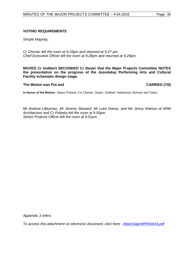# **VOTING REQUIREMENTS**

Simple Majority.

*Cr Chester left the room at 9.25pm and returned at 9.27 pm. Chief Executive Officer left the room at 9.28pm and returned at 9.29pm.*

**MOVED Cr Gobbert SECONDED Cr Dwyer that the Major Projects Committee NOTES the presentation on the progress of the Joondalup Performing Arts and Cultural Facility schematic design stage.**

**The Motion was Put and CARRIED (7/0)** 

**In favour of the Motion:** Mayor Pickard, Crs Chester, Dwyer, Gobbert, Hollywood, Norman and Taylor.

*Mr Andrew Lilleyman, Mr Jeremy Steward, Mr Luke Davey, and Ms Jenny Watson of ARM Architecture and Cr Poliwka left the room at 9.50pm. Senior Projects Officer left the room at 9.51pm.*

*Appendix 3 refers*

<span id="page-34-0"></span>*[To access this attachment on electronic document, click here: Attach3agnMP040416.pdf](http://www.joondalup.wa.gov.au/files/committees/MAPC/2016/Attach3agnMP040416.pdf)*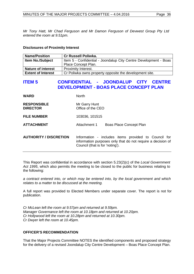*Mr Tony Hatt, Mr Chad Ferguson and Mr Damon Ferguson of Devwest Group Pty Ltd entered the room at 9.51pm.* 

# **Disclosures of Proximity Interest**

| <b>Name/Position</b>      | <b>Cr Russell Poliwka.</b>                                       |
|---------------------------|------------------------------------------------------------------|
| <b>Item No./Subject</b>   | Item 5 - Confidential - Joondalup City Centre Development - Boas |
|                           | Place Concept Plan.                                              |
| <b>Nature of interest</b> | <b>Proximity Interest.</b>                                       |
| <b>Extent of Interest</b> | Cr Poliwka owns property opposite the development site.          |

# **ITEM 5 CONFIDENTIAL - JOONDALUP CITY CENTRE DEVELOPMENT - BOAS PLACE CONCEPT PLAN**

| WARD                                  | <b>North</b>                                                                                                                                           |
|---------------------------------------|--------------------------------------------------------------------------------------------------------------------------------------------------------|
| <b>RESPONSIBLE</b><br><b>DIRECTOR</b> | Mr Garry Hunt<br>Office of the CEO                                                                                                                     |
| <b>FILE NUMBER</b>                    | 103036, 101515                                                                                                                                         |
| ATTACHMENT                            | Attachment 1<br><b>Boas Place Concept Plan</b>                                                                                                         |
| <b>AUTHORITY / DISCRETION</b>         | Information - includes items provided to Council for<br>information purposes only that do not require a decision of<br>Council (that is for 'noting'). |

This Report was confidential in accordance with section 5.23(2)(c) of the *Local Government Act 1995*, which also permits the meeting to be closed to the public for business relating to the following:

*a contract entered into, or which may be entered into, by the local government and which relates to a matter to be discussed at the meeting.*

A full report was provided to Elected Members under separate cover. The report is not for publication.

*Cr McLean left the room at 9.57pm and returned at 9.59pm. Manager Governance left the room at 10.18pm and returned at 10.20pm. Cr Hollywood left the room at 10.28pm and returned at 10.30pm. Cr Dwyer left the room at 10.45pm.*

# **OFFICER'S RECOMMENDATION**

That the Major Projects Committee NOTES the identified components and proposed strategy for the delivery of a revised Joondalup City Centre Development – Boas Place Concept Plan.